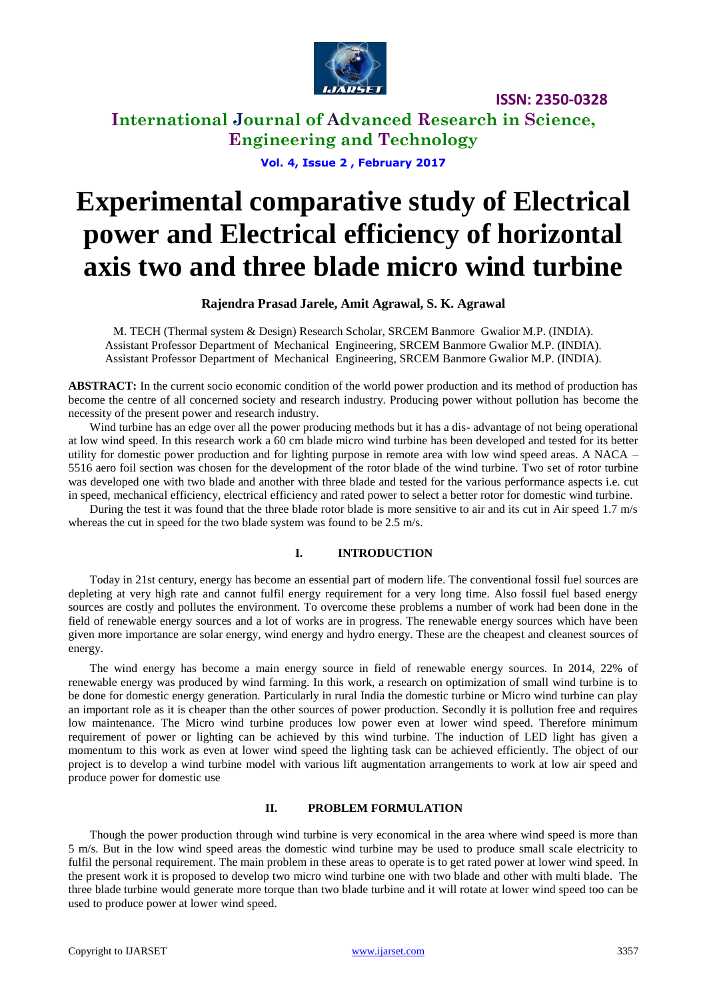

**International Journal of Advanced Research in Science, Engineering and Technology**

**Vol. 4, Issue 2 , February 2017**

# **Experimental comparative study of Electrical power and Electrical efficiency of horizontal axis two and three blade micro wind turbine**

#### **Rajendra Prasad Jarele, Amit Agrawal, S. K. Agrawal**

M. TECH (Thermal system & Design) Research Scholar, SRCEM Banmore Gwalior M.P. (INDIA). Assistant Professor Department of Mechanical Engineering, SRCEM Banmore Gwalior M.P. (INDIA). Assistant Professor Department of Mechanical Engineering, SRCEM Banmore Gwalior M.P. (INDIA).

**ABSTRACT:** In the current socio economic condition of the world power production and its method of production has become the centre of all concerned society and research industry. Producing power without pollution has become the necessity of the present power and research industry.

Wind turbine has an edge over all the power producing methods but it has a dis- advantage of not being operational at low wind speed. In this research work a 60 cm blade micro wind turbine has been developed and tested for its better utility for domestic power production and for lighting purpose in remote area with low wind speed areas. A NACA – 5516 aero foil section was chosen for the development of the rotor blade of the wind turbine. Two set of rotor turbine was developed one with two blade and another with three blade and tested for the various performance aspects i.e. cut in speed, mechanical efficiency, electrical efficiency and rated power to select a better rotor for domestic wind turbine.

During the test it was found that the three blade rotor blade is more sensitive to air and its cut in Air speed 1.7 m/s whereas the cut in speed for the two blade system was found to be 2.5 m/s.

#### **I. INTRODUCTION**

Today in 21st century, energy has become an essential part of modern life. The conventional fossil fuel sources are depleting at very high rate and cannot fulfil energy requirement for a very long time. Also fossil fuel based energy sources are costly and pollutes the environment. To overcome these problems a number of work had been done in the field of renewable energy sources and a lot of works are in progress. The renewable energy sources which have been given more importance are solar energy, wind energy and hydro energy. These are the cheapest and cleanest sources of energy.

The wind energy has become a main energy source in field of renewable energy sources. In 2014, 22% of renewable energy was produced by wind farming. In this work, a research on optimization of small wind turbine is to be done for domestic energy generation. Particularly in rural India the domestic turbine or Micro wind turbine can play an important role as it is cheaper than the other sources of power production. Secondly it is pollution free and requires low maintenance. The Micro wind turbine produces low power even at lower wind speed. Therefore minimum requirement of power or lighting can be achieved by this wind turbine. The induction of LED light has given a momentum to this work as even at lower wind speed the lighting task can be achieved efficiently. The object of our project is to develop a wind turbine model with various lift augmentation arrangements to work at low air speed and produce power for domestic use

#### **II. PROBLEM FORMULATION**

Though the power production through wind turbine is very economical in the area where wind speed is more than 5 m/s. But in the low wind speed areas the domestic wind turbine may be used to produce small scale electricity to fulfil the personal requirement. The main problem in these areas to operate is to get rated power at lower wind speed. In the present work it is proposed to develop two micro wind turbine one with two blade and other with multi blade. The three blade turbine would generate more torque than two blade turbine and it will rotate at lower wind speed too can be used to produce power at lower wind speed.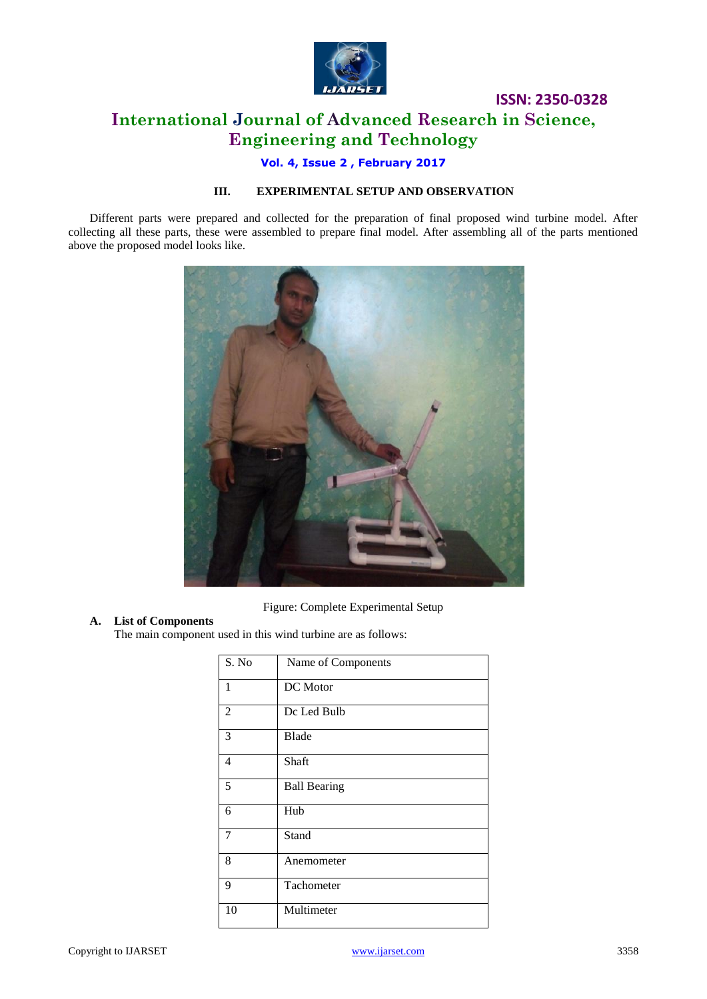

# **International Journal of Advanced Research in Science, Engineering and Technology**

#### **Vol. 4, Issue 2 , February 2017**

#### **III. EXPERIMENTAL SETUP AND OBSERVATION**

Different parts were prepared and collected for the preparation of final proposed wind turbine model. After collecting all these parts, these were assembled to prepare final model. After assembling all of the parts mentioned above the proposed model looks like.



Figure: Complete Experimental Setup

#### **A. List of Components**

The main component used in this wind turbine are as follows:

| S. No          | Name of Components  |
|----------------|---------------------|
| $\mathbf{1}$   | DC Motor            |
| 2              | Dc Led Bulb         |
| 3              | Blade               |
| $\overline{4}$ | Shaft               |
| 5              | <b>Ball Bearing</b> |
| 6              | Hub                 |
| $\overline{7}$ | Stand               |
| 8              | Anemometer          |
| 9              | Tachometer          |
| 10             | Multimeter          |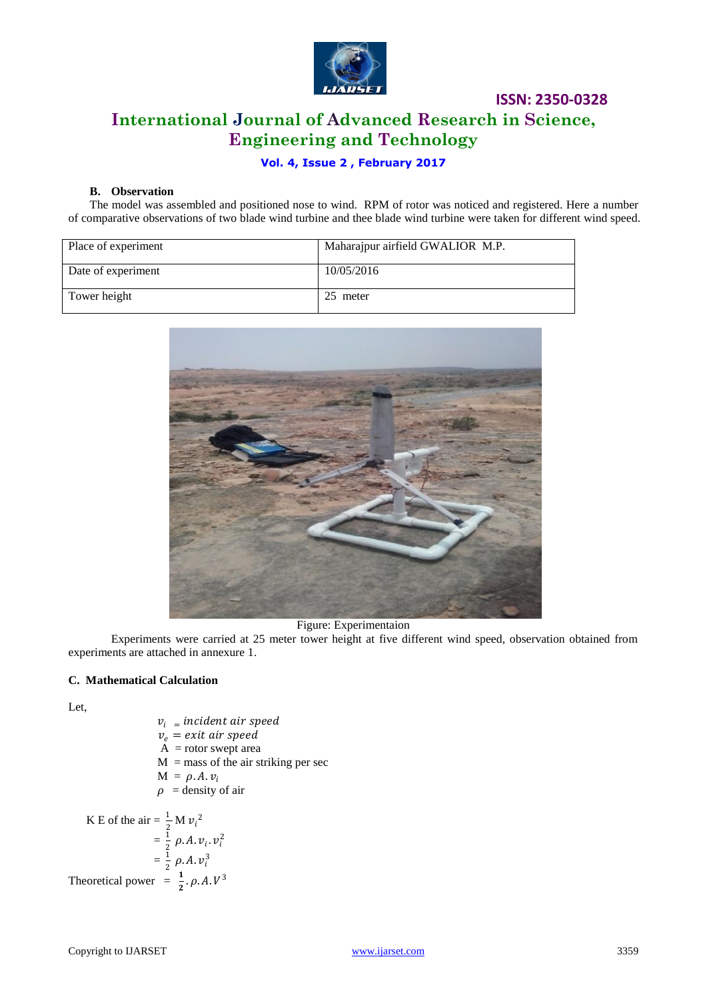

# **ISSN: 2350-0328 International Journal of Advanced Research in Science, Engineering and Technology**

#### **Vol. 4, Issue 2 , February 2017**

#### **B. Observation**

The model was assembled and positioned nose to wind. RPM of rotor was noticed and registered. Here a number of comparative observations of two blade wind turbine and thee blade wind turbine were taken for different wind speed.

| Place of experiment | Maharajpur airfield GWALIOR M.P. |  |  |
|---------------------|----------------------------------|--|--|
| Date of experiment  | 10/05/2016                       |  |  |
| Tower height        | 25 meter                         |  |  |



Figure: Experimentaion

Experiments were carried at 25 meter tower height at five different wind speed, observation obtained from experiments are attached in annexure 1.

#### **C. Mathematical Calculation**

Let,

 $v_i$  = incident air speed  $v_e$  = exit air speed  $A = rotor$  swept area  $M =$  mass of the air striking per sec  $M = \rho.A.v_i$  $\rho$  = density of air K E of the air =  $\frac{1}{2}$  M  $v_i^2$ 

$$
= \frac{1}{2} \rho. A. v_i. v_i^2
$$
  
=  $\frac{1}{2} \rho. A. v_i^3$   
Theoretical power =  $\frac{1}{2} \rho. A. V^3$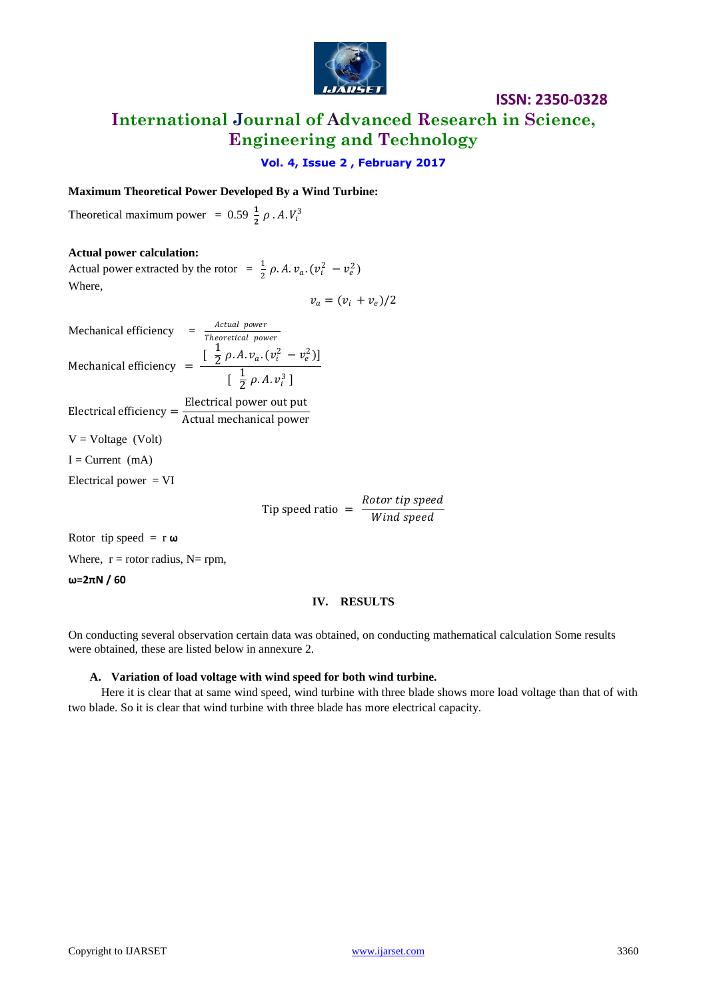

**International Journal of Advanced Research in Science, Engineering and Technology**

**Vol. 4, Issue 2 , February 2017**

#### **Maximum Theoretical Power Developed By a Wind Turbine:**

Theoretical maximum power = 0.59  $\frac{1}{2}$   $\rho$  . A.  $V_i^3$ 

#### **Actual power calculation:**

Actual power extracted by the rotor  $= \frac{1}{2} \rho A v_a$ .  $(v_i^2 - v_e^2)$ Where,  $v_a = (v_i + v_e)/2$ 

Mechanical efficiency  $= \frac{Actual\ power}{Theoretical\ power}$ Mechanical efficiency  $=$  $\left[\begin{array}{cc} 1 \\ 2\end{array}\right]$  $\frac{1}{2} \rho A. v_a. (v_i^2 - v_e^2)$  $\lceil \frac{1}{2} \rceil$  $\frac{1}{2}$   $\rho$ . A.  $v_i^3$  ] Electrical efficiency =  $\frac{\text{Electrical power out put}}{\text{A}}$ Actual mechanical power  $V = Voltage$  (Volt)  $I = Current (mA)$ Electrical power  $= VI$ Tip speed ratio  $=$   $\frac{Rootor\ tip\ speed}{Min\ d\ mode}$ Wind speed

Rotor tip speed =  $r \omega$ 

Where,  $r =$  rotor radius, N= rpm,

**ω=2πN / 60**

#### **IV. RESULTS**

On conducting several observation certain data was obtained, on conducting mathematical calculation Some results were obtained, these are listed below in annexure 2.

#### **A. Variation of load voltage with wind speed for both wind turbine.**

 Here it is clear that at same wind speed, wind turbine with three blade shows more load voltage than that of with two blade. So it is clear that wind turbine with three blade has more electrical capacity.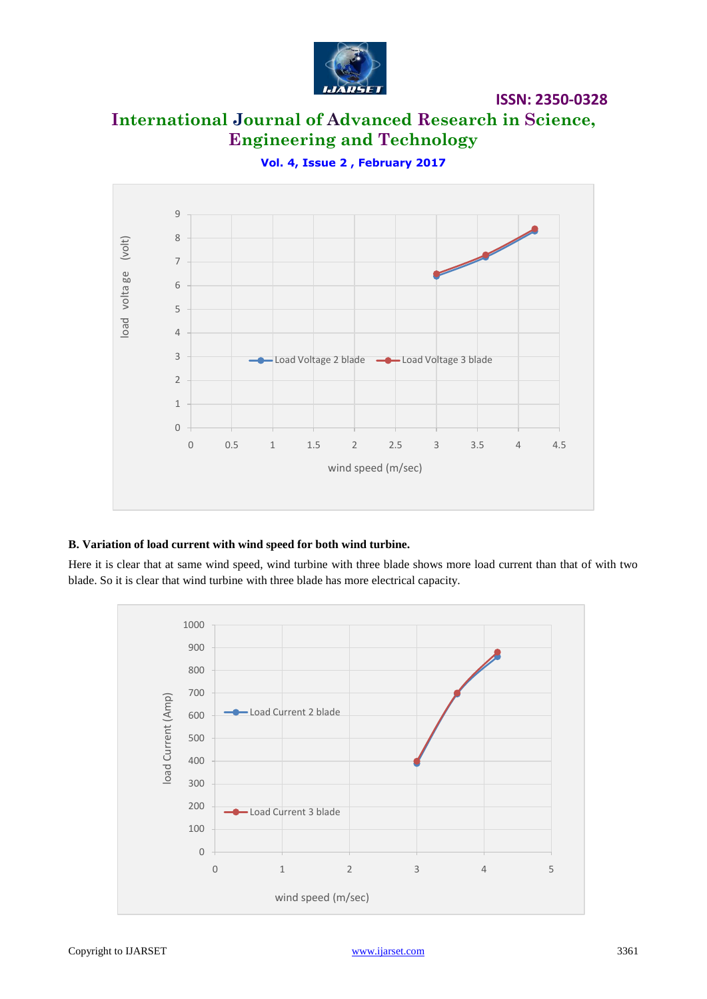

**ISSN: 2350-0328**

# **International Journal of Advanced Research in Science, Engineering and Technology**

**Vol. 4, Issue 2 , February 2017**



#### **B. Variation of load current with wind speed for both wind turbine.**

Here it is clear that at same wind speed, wind turbine with three blade shows more load current than that of with two blade. So it is clear that wind turbine with three blade has more electrical capacity.

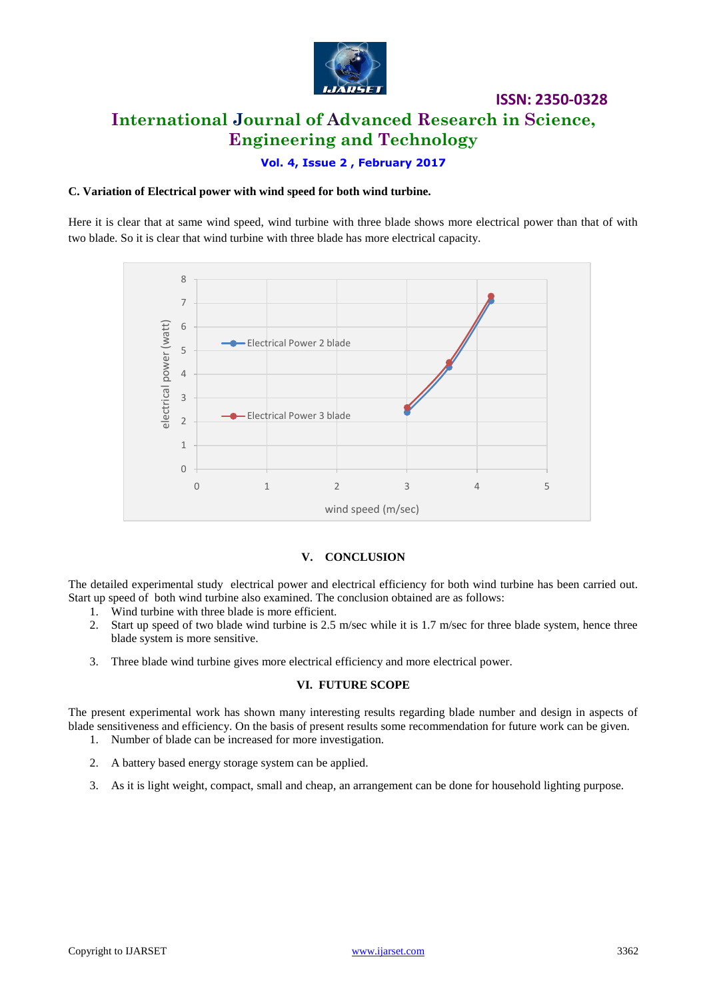

# **ISSN: 2350-0328 International Journal of Advanced Research in Science, Engineering and Technology**

**Vol. 4, Issue 2 , February 2017**

#### **C. Variation of Electrical power with wind speed for both wind turbine.**

Here it is clear that at same wind speed, wind turbine with three blade shows more electrical power than that of with two blade. So it is clear that wind turbine with three blade has more electrical capacity.



#### **V. CONCLUSION**

The detailed experimental study electrical power and electrical efficiency for both wind turbine has been carried out. Start up speed of both wind turbine also examined. The conclusion obtained are as follows:

- 
- 1. Wind turbine with three blade is more efficient.<br>2. Start up speed of two blade wind turbine is 2.5 Start up speed of two blade wind turbine is 2.5 m/sec while it is 1.7 m/sec for three blade system, hence three blade system is more sensitive.
- 3. Three blade wind turbine gives more electrical efficiency and more electrical power.

#### **VI. FUTURE SCOPE**

The present experimental work has shown many interesting results regarding blade number and design in aspects of blade sensitiveness and efficiency. On the basis of present results some recommendation for future work can be given.

- 1. Number of blade can be increased for more investigation.
- 2. A battery based energy storage system can be applied.
- 3. As it is light weight, compact, small and cheap, an arrangement can be done for household lighting purpose.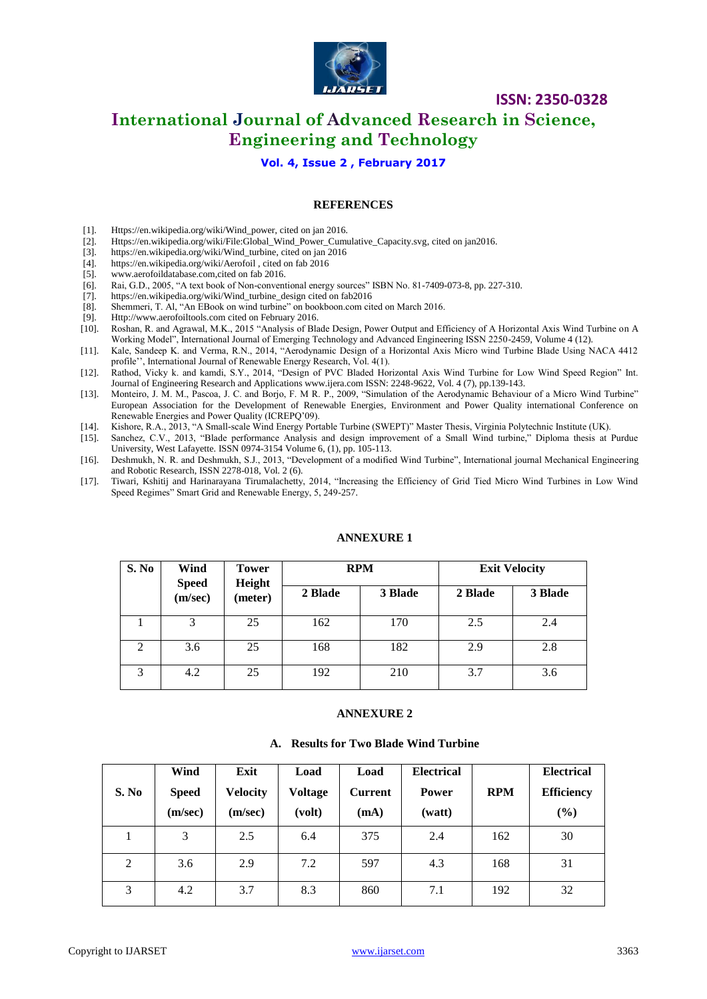

### **International Journal of Advanced Research in Science, Engineering and Technology**

#### **Vol. 4, Issue 2 , February 2017**

#### **REFERENCES**

- [1]. [Https://en.wikipedia.org/wiki/Wind\\_power,](https://en.wikipedia.org/wiki/Wind_power) cited on jan 2016.
- [2]. [Https://en.wikipedia.org/wiki/File:Global\\_Wind\\_Power\\_Cumulative\\_Capacity.svg,](https://en.wikipedia.org/wiki/File:Global_Wind_Power_Cumulative_Capacity.svg) cited on jan2016.<br>[3]. https://en.wikipedia.org/wiki/Wind\_turbine, cited on jan 2016
- [https://en.wikipedia.org/wiki/Wind\\_turbine,](https://en.wikipedia.org/wiki/Wind_turbine) cited on jan 2016
- [4]. https://en.wikipedia.org/wiki/Aerofoil , cited on fab 2016
- [5]. www.aerofoildatabase.com,cited on fab 2016.
- [6]. Rai, G.D., 2005, "A text book of Non-conventional energy sources" ISBN No. 81-7409-073-8, pp. 227-310.
- [7]. [https://en.wikipedia.org/wiki/Wind\\_turbine\\_design](https://en.wikipedia.org/wiki/Wind_turbine_design) cited on fab2016
- [8]. Shemmeri, T. Al, "An EBook on wind turbine" on bookboon.com cited on March 2016.
- [9]. [Http://www.aerofoiltools.com](http://www.aerofoiltools.com/) cited on February 2016.<br>[10]. Roshan, R. and Agrawal, M.K., 2015 "Analysis of Bla
- [10]. Roshan, R. and Agrawal, M.K., 2015 "Analysis of Blade Design, Power Output and Efficiency of A Horizontal Axis Wind Turbine on A Working Model", International Journal of Emerging Technology and Advanced Engineering ISSN 2250-2459, Volume 4 (12).
- [11]. Kale, Sandeep K. and Verma, R.N., 2014, "Aerodynamic Design of a Horizontal Axis Micro wind Turbine Blade Using NACA 4412 profile'', International Journal of Renewable Energy Research, Vol. 4(1).
- [12]. Rathod, Vicky k. and kamdi, S.Y., 2014, "Design of PVC Bladed Horizontal Axis Wind Turbine for Low Wind Speed Region" Int. Journal of Engineering Research and Applications www.ijera.com ISSN: 2248-9622, Vol. 4 (7), pp.139-143.
- [13]. Monteiro, J. M. M., Pascoa, J. C. and Borjo, F. M R. P., 2009, "Simulation of the Aerodynamic Behaviour of a Micro Wind Turbine" European Association for the Development of Renewable Energies, Environment and Power Quality international Conference on Renewable Energies and Power Quality (ICREPQ'09).
- [14]. Kishore, R.A., 2013, "A Small-scale Wind Energy Portable Turbine (SWEPT)" Master Thesis, Virginia Polytechnic Institute (UK).
- [15]. Sanchez, C.V., 2013, "Blade performance Analysis and design improvement of a Small Wind turbine," Diploma thesis at Purdue University, West Lafayette. ISSN 0974-3154 Volume 6, (1), pp. 105-113.
- [16]. Deshmukh, N. R. and Deshmukh, S.J., 2013, "Development of a modified Wind Turbine", International journal Mechanical Engineering and Robotic Research, ISSN 2278-018, Vol. 2 (6).
- [17]. Tiwari, Kshitij and Harinarayana Tirumalachetty, 2014, "Increasing the Efficiency of Grid Tied Micro Wind Turbines in Low Wind Speed Regimes" Smart Grid and Renewable Energy, 5, 249-257.

| S. No          | Wind<br><b>Speed</b><br>(m/sec) | <b>Tower</b><br>Height<br>(meter) |         | <b>RPM</b> | <b>Exit Velocity</b> |         |  |
|----------------|---------------------------------|-----------------------------------|---------|------------|----------------------|---------|--|
|                |                                 |                                   | 2 Blade | 3 Blade    | 2 Blade              | 3 Blade |  |
|                | 3                               | 25                                | 162     | 170        | 2.5                  | 2.4     |  |
| $\mathfrak{D}$ | 3.6                             | 25                                | 168     | 182        | 2.9                  | 2.8     |  |
| 3              | 4.2                             | 25                                | 192     | 210        | 3.7                  | 3.6     |  |

#### **ANNEXURE 1**

#### **ANNEXURE 2**

#### **A. Results for Two Blade Wind Turbine**

| S. No | Wind<br><b>Speed</b><br>(m/sec) | Exit<br><b>Velocity</b><br>(m/sec) | Load<br><b>Voltage</b><br>(volt) | Load<br><b>Current</b><br>(mA) | <b>Electrical</b><br><b>Power</b><br>(watt) | <b>RPM</b> | <b>Electrical</b><br><b>Efficiency</b><br>$(\%)$ |
|-------|---------------------------------|------------------------------------|----------------------------------|--------------------------------|---------------------------------------------|------------|--------------------------------------------------|
|       | 3                               | 2.5                                | 6.4                              | 375                            | 2.4                                         | 162        | 30                                               |
| 2     | 3.6                             | 2.9                                | 7.2                              | 597                            | 4.3                                         | 168        | 31                                               |
| 3     | 4.2                             | 3.7                                | 8.3                              | 860                            | 7.1                                         | 192        | 32                                               |